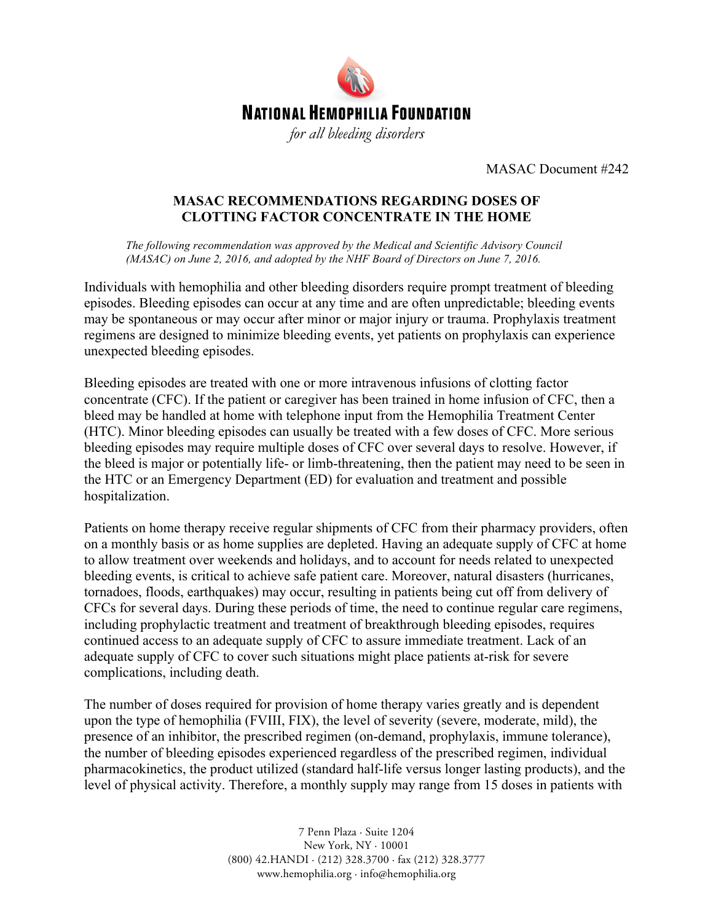

MASAC Document #242

## **MASAC RECOMMENDATIONS REGARDING DOSES OF CLOTTING FACTOR CONCENTRATE IN THE HOME**

*The following recommendation was approved by the Medical and Scientific Advisory Council (MASAC) on June 2, 2016, and adopted by the NHF Board of Directors on June 7, 2016.*

Individuals with hemophilia and other bleeding disorders require prompt treatment of bleeding episodes. Bleeding episodes can occur at any time and are often unpredictable; bleeding events may be spontaneous or may occur after minor or major injury or trauma. Prophylaxis treatment regimens are designed to minimize bleeding events, yet patients on prophylaxis can experience unexpected bleeding episodes.

Bleeding episodes are treated with one or more intravenous infusions of clotting factor concentrate (CFC). If the patient or caregiver has been trained in home infusion of CFC, then a bleed may be handled at home with telephone input from the Hemophilia Treatment Center (HTC). Minor bleeding episodes can usually be treated with a few doses of CFC. More serious bleeding episodes may require multiple doses of CFC over several days to resolve. However, if the bleed is major or potentially life- or limb-threatening, then the patient may need to be seen in the HTC or an Emergency Department (ED) for evaluation and treatment and possible hospitalization.

Patients on home therapy receive regular shipments of CFC from their pharmacy providers, often on a monthly basis or as home supplies are depleted. Having an adequate supply of CFC at home to allow treatment over weekends and holidays, and to account for needs related to unexpected bleeding events, is critical to achieve safe patient care. Moreover, natural disasters (hurricanes, tornadoes, floods, earthquakes) may occur, resulting in patients being cut off from delivery of CFCs for several days. During these periods of time, the need to continue regular care regimens, including prophylactic treatment and treatment of breakthrough bleeding episodes, requires continued access to an adequate supply of CFC to assure immediate treatment. Lack of an adequate supply of CFC to cover such situations might place patients at-risk for severe complications, including death.

The number of doses required for provision of home therapy varies greatly and is dependent upon the type of hemophilia (FVIII, FIX), the level of severity (severe, moderate, mild), the presence of an inhibitor, the prescribed regimen (on-demand, prophylaxis, immune tolerance), the number of bleeding episodes experienced regardless of the prescribed regimen, individual pharmacokinetics, the product utilized (standard half-life versus longer lasting products), and the level of physical activity. Therefore, a monthly supply may range from 15 doses in patients with

> 7 Penn Plaza · Suite 1204 New York, NY · 10001 (800) 42.HANDI · (212) 328.3700 · fax (212) 328.3777 www.hemophilia.org · info@hemophilia.org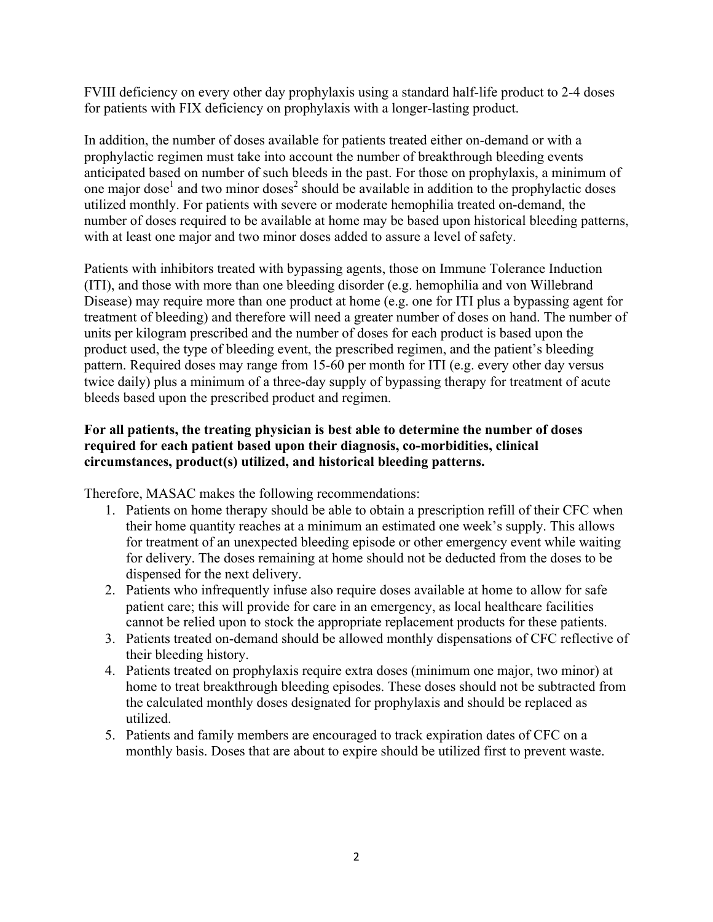FVIII deficiency on every other day prophylaxis using a standard half-life product to 2-4 doses for patients with FIX deficiency on prophylaxis with a longer-lasting product.

In addition, the number of doses available for patients treated either on-demand or with a prophylactic regimen must take into account the number of breakthrough bleeding events anticipated based on number of such bleeds in the past. For those on prophylaxis, a minimum of one major dose<sup>1</sup> and two minor doses<sup>2</sup> should be available in addition to the prophylactic doses utilized monthly. For patients with severe or moderate hemophilia treated on-demand, the number of doses required to be available at home may be based upon historical bleeding patterns, with at least one major and two minor doses added to assure a level of safety.

Patients with inhibitors treated with bypassing agents, those on Immune Tolerance Induction (ITI), and those with more than one bleeding disorder (e.g. hemophilia and von Willebrand Disease) may require more than one product at home (e.g. one for ITI plus a bypassing agent for treatment of bleeding) and therefore will need a greater number of doses on hand. The number of units per kilogram prescribed and the number of doses for each product is based upon the product used, the type of bleeding event, the prescribed regimen, and the patient's bleeding pattern. Required doses may range from 15-60 per month for ITI (e.g. every other day versus twice daily) plus a minimum of a three-day supply of bypassing therapy for treatment of acute bleeds based upon the prescribed product and regimen.

## **For all patients, the treating physician is best able to determine the number of doses required for each patient based upon their diagnosis, co-morbidities, clinical circumstances, product(s) utilized, and historical bleeding patterns.**

Therefore, MASAC makes the following recommendations:

- 1. Patients on home therapy should be able to obtain a prescription refill of their CFC when their home quantity reaches at a minimum an estimated one week's supply. This allows for treatment of an unexpected bleeding episode or other emergency event while waiting for delivery. The doses remaining at home should not be deducted from the doses to be dispensed for the next delivery.
- 2. Patients who infrequently infuse also require doses available at home to allow for safe patient care; this will provide for care in an emergency, as local healthcare facilities cannot be relied upon to stock the appropriate replacement products for these patients.
- 3. Patients treated on-demand should be allowed monthly dispensations of CFC reflective of their bleeding history.
- 4. Patients treated on prophylaxis require extra doses (minimum one major, two minor) at home to treat breakthrough bleeding episodes. These doses should not be subtracted from the calculated monthly doses designated for prophylaxis and should be replaced as utilized.
- 5. Patients and family members are encouraged to track expiration dates of CFC on a monthly basis. Doses that are about to expire should be utilized first to prevent waste.